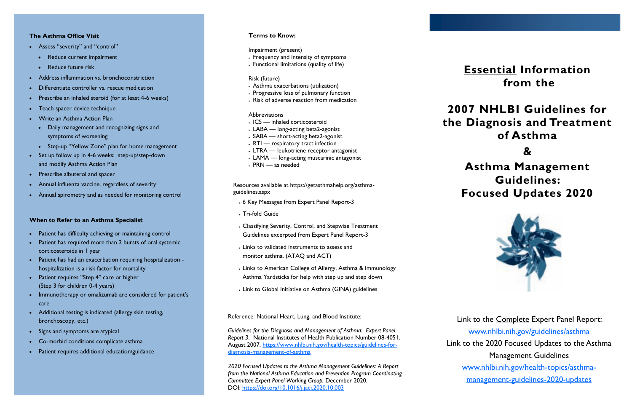## **Essential Information from the**

# **2007 NHLBI Guidelines for the Diagnosis and Treatment of Asthma**

**&**

# **Asthma Management Guidelines: Focused Updates 2020**



Link to the 2020 Focused Updates to the Asthma

Link to the Complete Expert Panel Report: [www.nhlbi.nih.gov/guidelines/asthma](http://www.nhlbi.nih.gov/guidelines/asthma) Management Guidelines [www.nhlbi.nih.gov/health-topics/asthma](http://www.nhlbi.nih.gov/health-topics/asthma-management-guidelines-2020-updates)[management-guidelines-2020-updates](http://www.nhlbi.nih.gov/health-topics/asthma-management-guidelines-2020-updates)

### **The Asthma Office Visit**

- Assess "severity" and "control"
	- Reduce current impairment
	- **Reduce future risk**
- Address inflammation vs. bronchoconstriction
- Differentiate controller vs. rescue medication
- Prescribe an inhaled steroid (for at least 4-6 weeks)
- Teach spacer device technique
- Write an Asthma Action Plan
	- Daily management and recognizing signs and symptoms of worsening
	- Step-up "Yellow Zone" plan for home management
- Set up follow up in 4-6 weeks: step-up/step-down and modify Asthma Action Plan
- Prescribe albuterol and spacer
- Annual influenza vaccine, regardless of severity
- Annual spirometry and as needed for monitoring control

### **When to Refer to an Asthma Specialist**

- Patient has difficulty achieving or maintaining control
- Patient has required more than 2 bursts of oral systemic corticosteroids in 1 year
- Patient has had an exacerbation requiring hospitalization hospitalization is a risk factor for mortality
- Patient requires "Step 4" care or higher (Step 3 for children 0-4 years)
- Immunotherapy or omalizumab are considered for patient's care
- Additional testing is indicated (allergy skin testing, bronchoscopy, etc.)
- Signs and symptoms are atypical
- Co-morbid conditions complicate asthma
- Patient requires additional education/guidance

## **Terms to Know:**

## Impairment (present)

- Frequency and intensity of symptoms
- Functional limitations (quality of life)

#### Risk (future)

- Asthma exacerbations (utilization)
- Progressive loss of pulmonary function
- Risk of adverse reaction from medication

#### **Abbreviations**

- ICS inhaled corticosteroid
- LABA long-acting beta2-agonist
- SABA short-acting beta2-agonist
- RTI respiratory tract infection
- LTRA leukotriene receptor antagonist
- LAMA long-acting muscarinic antagonist
- PRN as needed

Resources available at https://getasthmahelp.org/asthmaguidelines.aspx

- 6 Key Messages from Expert Panel Report-3
- Tri-fold Guide
- Classifying Severity, Control, and Stepwise Treatment Guidelines excerpted from Expert Panel Report-3
- Links to validated instruments to assess and monitor asthma. (ATAQ and ACT)
- Links to American College of Allergy, Asthma & Immunology Asthma Yardsticks for help with step up and step down
- Link to Global Initiative on Asthma (GINA) guidelines

Reference: National Heart, Lung, and Blood Institute:

*Guidelines for the Diagnosis and Management of Asthma: Expert Panel Report 3*. National Institutes of Health Publication Number 08-4051. August 2007. [https://www.nhlbi.nih.gov/health-topics/guidelines-for](https://www.nhlbi.nih.gov/health-topics/guidelines-for-diagnosis-management-of-asthma)[diagnosis-management-of-asthma](https://www.nhlbi.nih.gov/health-topics/guidelines-for-diagnosis-management-of-asthma) 

*2020 Focused Updates to the Asthma Management Guidelines: A Report from the National Asthma Education and Prevention Program Coordinating Committee Expert Panel Working Group.* December 2020. DOI:<https://doi.org/10.1016/j.jaci.2020.10.003>